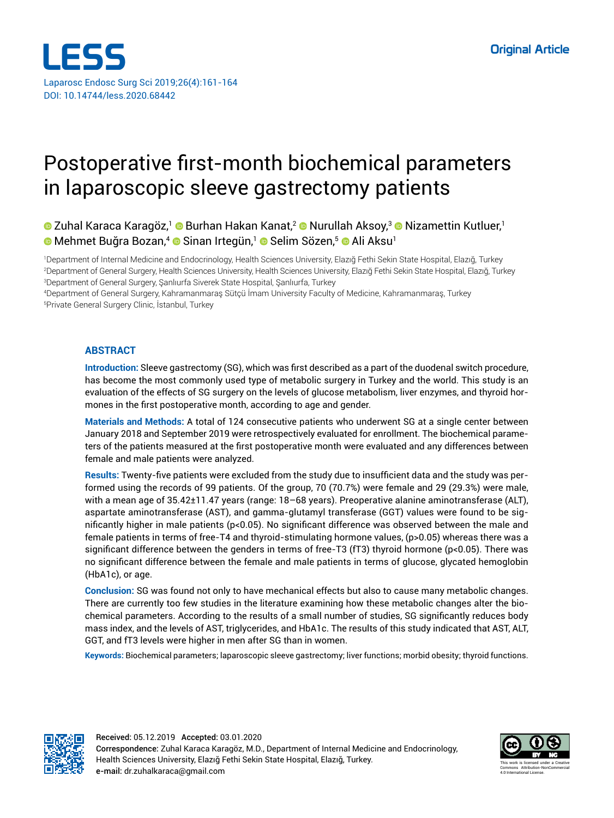

# Postoperative first-month biochemical parameters in laparoscopic sleeve gastrectomy patients

# **■ Zuhal Karaca Karagöz,<sup>1</sup> ■ Burhan Hakan Kanat,<sup>2</sup> ■ Nurullah Aksoy,<sup>3</sup> ■ Nizamettin Kutluer,<sup>1</sup> ■Mehmet Buğra Bozan, • ■ Sinan Irtegün, • ■ Selim Sözen, • ■ Ali Aksu**

1 Department of Internal Medicine and Endocrinology, Health Sciences University, Elazığ Fethi Sekin State Hospital, Elazığ, Turkey 2 Department of General Surgery, Health Sciences University, Health Sciences University, Elazığ Fethi Sekin State Hospital, Elazığ, Turkey 3 Department of General Surgery, Şanlıurfa Siverek State Hospital, Şanlıurfa, Turkey

4 Department of General Surgery, Kahramanmaraş Sütçü İmam University Faculty of Medicine, Kahramanmaraş, Turkey 5 Private General Surgery Clinic, İstanbul, Turkey

### **ABSTRACT**

**Introduction:** Sleeve gastrectomy (SG), which was first described as a part of the duodenal switch procedure, has become the most commonly used type of metabolic surgery in Turkey and the world. This study is an evaluation of the effects of SG surgery on the levels of glucose metabolism, liver enzymes, and thyroid hormones in the first postoperative month, according to age and gender.

**Materials and Methods:** A total of 124 consecutive patients who underwent SG at a single center between January 2018 and September 2019 were retrospectively evaluated for enrollment. The biochemical parameters of the patients measured at the first postoperative month were evaluated and any differences between female and male patients were analyzed.

**Results:** Twenty-five patients were excluded from the study due to insufficient data and the study was performed using the records of 99 patients. Of the group, 70 (70.7%) were female and 29 (29.3%) were male, with a mean age of 35.42±11.47 years (range: 18–68 years). Preoperative alanine aminotransferase (ALT), aspartate aminotransferase (AST), and gamma-glutamyl transferase (GGT) values were found to be significantly higher in male patients (p<0.05). No significant difference was observed between the male and female patients in terms of free-T4 and thyroid-stimulating hormone values, (p>0.05) whereas there was a significant difference between the genders in terms of free-T3 (fT3) thyroid hormone (p<0.05). There was no significant difference between the female and male patients in terms of glucose, glycated hemoglobin (HbA1c), or age.

**Conclusion:** SG was found not only to have mechanical effects but also to cause many metabolic changes. There are currently too few studies in the literature examining how these metabolic changes alter the biochemical parameters. According to the results of a small number of studies, SG significantly reduces body mass index, and the levels of AST, triglycerides, and HbA1c. The results of this study indicated that AST, ALT, GGT, and fT3 levels were higher in men after SG than in women.

**Keywords:** Biochemical parameters; laparoscopic sleeve gastrectomy; liver functions; morbid obesity; thyroid functions.



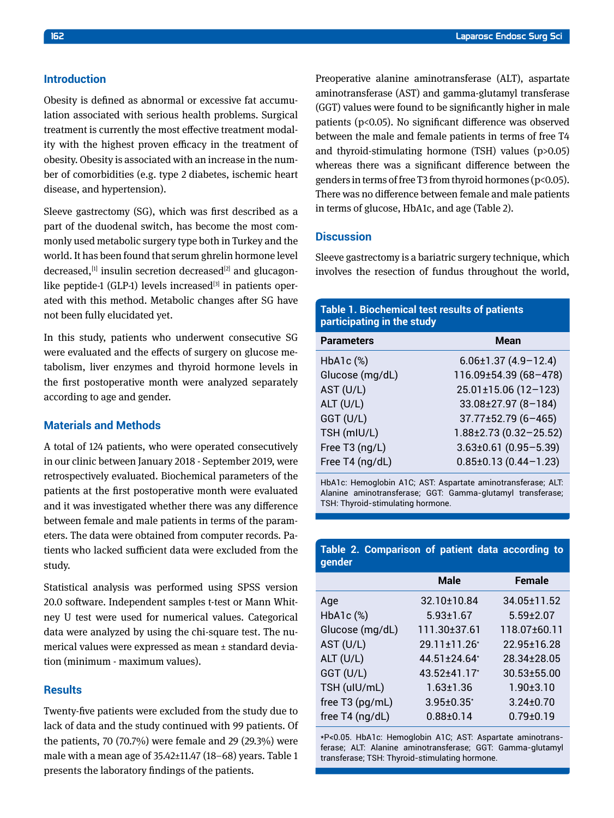### **Introduction**

Obesity is defined as abnormal or excessive fat accumulation associated with serious health problems. Surgical treatment is currently the most effective treatment modality with the highest proven efficacy in the treatment of obesity. Obesity is associated with an increase in the number of comorbidities (e.g. type 2 diabetes, ischemic heart disease, and hypertension).

Sleeve gastrectomy (SG), which was first described as a part of the duodenal switch, has become the most commonly used metabolic surgery type both in Turkey and the world. It has been found that serum ghrelin hormone level decreased,  $[1]$  insulin secretion decreased $[2]$  and glucagonlike peptide-1 (GLP-1) levels increased $[3]$  in patients operated with this method. Metabolic changes after SG have not been fully elucidated yet.

In this study, patients who underwent consecutive SG were evaluated and the effects of surgery on glucose metabolism, liver enzymes and thyroid hormone levels in the first postoperative month were analyzed separately according to age and gender.

## **Materials and Methods**

A total of 124 patients, who were operated consecutively in our clinic between January 2018 - September 2019, were retrospectively evaluated. Biochemical parameters of the patients at the first postoperative month were evaluated and it was investigated whether there was any difference between female and male patients in terms of the parameters. The data were obtained from computer records. Patients who lacked sufficient data were excluded from the study.

Statistical analysis was performed using SPSS version 20.0 software. Independent samples t-test or Mann Whitney U test were used for numerical values. Categorical data were analyzed by using the chi-square test. The numerical values were expressed as mean ± standard deviation (minimum - maximum values).

#### **Results**

Twenty-five patients were excluded from the study due to lack of data and the study continued with 99 patients. Of the patients, 70 (70.7%) were female and 29 (29.3%) were male with a mean age of 35.42±11.47 (18–68) years. Table 1 presents the laboratory findings of the patients.

Preoperative alanine aminotransferase (ALT), aspartate aminotransferase (AST) and gamma-glutamyl transferase (GGT) values were found to be significantly higher in male patients (p<0.05). No significant difference was observed between the male and female patients in terms of free T4 and thyroid-stimulating hormone (TSH) values (p>0.05) whereas there was a significant difference between the genders in terms of free T3 from thyroid hormones (p<0.05). There was no difference between female and male patients in terms of glucose, HbA1c, and age (Table 2).

### **Discussion**

Sleeve gastrectomy is a bariatric surgery technique, which involves the resection of fundus throughout the world,

| <b>Table 1. Biochemical test results of patients</b><br>participating in the study |                              |  |  |  |
|------------------------------------------------------------------------------------|------------------------------|--|--|--|
| <b>Parameters</b>                                                                  | <b>Mean</b>                  |  |  |  |
| $HbA1c$ $(*)$                                                                      | $6.06 \pm 1.37$ (4.9-12.4)   |  |  |  |
| Glucose (mg/dL)                                                                    | 116.09±54.39 (68-478)        |  |  |  |
| AST (U/L)                                                                          | $25.01 \pm 15.06$ (12-123)   |  |  |  |
| ALT (U/L)                                                                          | $33.08 \pm 27.97(8 - 184)$   |  |  |  |
| GGT (U/L)                                                                          | $37.77 \pm 52.79$ (6-465)    |  |  |  |
| TSH (mIU/L)                                                                        | $1.88 \pm 2.73$ (0.32-25.52) |  |  |  |
| Free T3 (ng/L)                                                                     | $3.63\pm0.61$ (0.95-5.39)    |  |  |  |
| Free T4 (ng/dL)                                                                    | $0.85 \pm 0.13(0.44 - 1.23)$ |  |  |  |

HbA1c: Hemoglobin A1C; AST: Aspartate aminotransferase; ALT: Alanine aminotransferase; GGT: Gamma-glutamyl transferase; TSH: Thyroid-stimulating hormone.

|        | Table 2. Comparison of patient data according to |  |  |  |
|--------|--------------------------------------------------|--|--|--|
| gender |                                                  |  |  |  |

|                 | <b>Male</b>       | <b>Female</b>     |
|-----------------|-------------------|-------------------|
| Age             | $32.10 \pm 10.84$ | 34.05±11.52       |
| $HbA1c$ $(*)$   | $5.93 \pm 1.67$   | $5.59 \pm 2.07$   |
| Glucose (mg/dL) | 111.30±37.61      | 118.07±60.11      |
| AST (U/L)       | 29.11±11.26*      | 22.95±16.28       |
| $ALT$ (U/L)     | $44.51 \pm 24.64$ | 28.34±28.05       |
| GGT (U/L)       | 43.52±41.17*      | $30.53 \pm 55.00$ |
| TSH (uIU/mL)    | $1.63 \pm 1.36$   | $1.90 \pm 3.10$   |
| free T3 (pg/mL) | $3.95 \pm 0.35$ * | $3.24 \pm 0.70$   |
| free T4 (ng/dL) | $0.88 \pm 0.14$   | $0.79 \pm 0.19$   |

\*P<0.05. HbA1c: Hemoglobin A1C; AST: Aspartate aminotransferase; ALT: Alanine aminotransferase; GGT: Gamma-glutamyl transferase; TSH: Thyroid-stimulating hormone.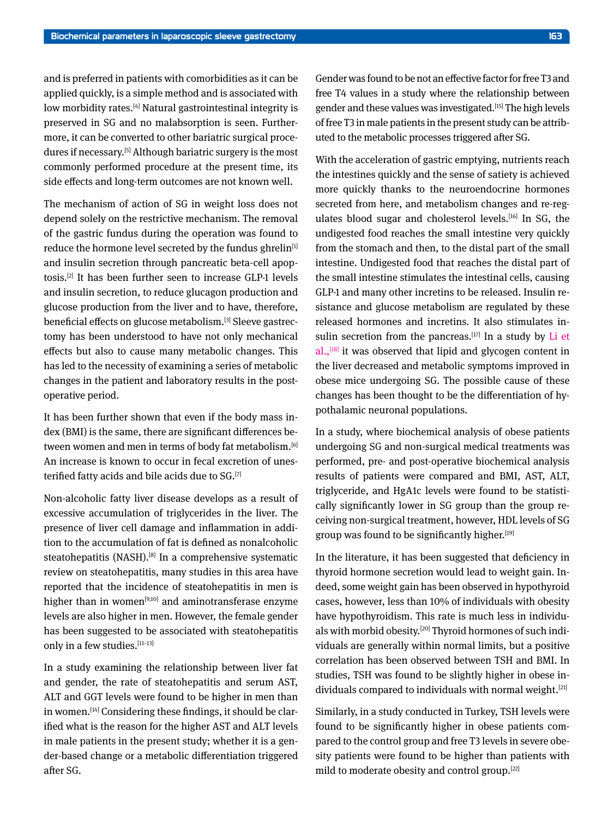and is preferred in patients with comorbidities as it can be applied quickly, is a simple method and is associated with low morbidity rates.<sup>[4]</sup> Natural gastrointestinal integrity is preserved in SG and no malabsorption is seen. Furthermore, it can be converted to other bariatric surgical procedures if necessary.[5] Although bariatric surgery is the most commonly performed procedure at the present time, its side effects and long-term outcomes are not known well.

The mechanism of action of SG in weight loss does not depend solely on the restrictive mechanism. The removal of the gastric fundus during the operation was found to reduce the hormone level secreted by the fundus ghrelin<sup>[1]</sup> and insulin secretion through pancreatic beta-cell apoptosis.[2] It has been further seen to increase GLP-1 levels and insulin secretion, to reduce glucagon production and glucose production from the liver and to have, therefore, beneficial effects on glucose metabolism.[3] Sleeve gastrectomy has been understood to have not only mechanical effects but also to cause many metabolic changes. This has led to the necessity of examining a series of metabolic changes in the patient and laboratory results in the postoperative period.

It has been further shown that even if the body mass index (BMI) is the same, there are significant differences between women and men in terms of body fat metabolism.[6] An increase is known to occur in fecal excretion of unesterified fatty acids and bile acids due to SG.[7]

Non-alcoholic fatty liver disease develops as a result of excessive accumulation of triglycerides in the liver. The presence of liver cell damage and inflammation in addition to the accumulation of fat is defined as nonalcoholic steatohepatitis (NASH).<sup>[8]</sup> In a comprehensive systematic review on steatohepatitis, many studies in this area have reported that the incidence of steatohepatitis in men is higher than in women<sup>[9,10]</sup> and aminotransferase enzyme levels are also higher in men. However, the female gender has been suggested to be associated with steatohepatitis only in a few studies. [11-13]

In a study examining the relationship between liver fat and gender, the rate of steatohepatitis and serum AST, ALT and GGT levels were found to be higher in men than in women.[14] Considering these findings, it should be clarified what is the reason for the higher AST and ALT levels in male patients in the present study; whether it is a gender-based change or a metabolic differentiation triggered after SG.

Gender was found to be not an effective factor for free T3 and free T4 values in a study where the relationship between gender and these values was investigated.[15] The high levels of free T3 in male patients in the present study can be attributed to the metabolic processes triggered after SG.

With the acceleration of gastric emptying, nutrients reach the intestines quickly and the sense of satiety is achieved more quickly thanks to the neuroendocrine hormones secreted from here, and metabolism changes and re-regulates blood sugar and cholesterol levels.[16] In SG, the undigested food reaches the small intestine very quickly from the stomach and then, to the distal part of the small intestine. Undigested food that reaches the distal part of the small intestine stimulates the intestinal cells, causing GLP-1 and many other incretins to be released. Insulin resistance and glucose metabolism are regulated by these released hormones and incretins. It also stimulates insulin secretion from the pancreas.<sup>[17]</sup> In a study by Li et  $al.,$ <sup>[18]</sup> it was observed that lipid and glycogen content in the liver decreased and metabolic symptoms improved in obese mice undergoing SG. The possible cause of these changes has been thought to be the differentiation of hypothalamic neuronal populations.

In a study, where biochemical analysis of obese patients undergoing SG and non-surgical medical treatments was performed, pre- and post-operative biochemical analysis results of patients were compared and BMI, AST, ALT, triglyceride, and HgA1c levels were found to be statistically significantly lower in SG group than the group receiving non-surgical treatment, however, HDL levels of SG group was found to be significantly higher.[19]

In the literature, it has been suggested that deficiency in thyroid hormone secretion would lead to weight gain. Indeed, some weight gain has been observed in hypothyroid cases, however, less than 10% of individuals with obesity have hypothyroidism. This rate is much less in individuals with morbid obesity.<sup>[20]</sup> Thyroid hormones of such individuals are generally within normal limits, but a positive correlation has been observed between TSH and BMI. In studies, TSH was found to be slightly higher in obese individuals compared to individuals with normal weight.<sup>[21]</sup>

Similarly, in a study conducted in Turkey, TSH levels were found to be significantly higher in obese patients compared to the control group and free T3 levels in severe obesity patients were found to be higher than patients with mild to moderate obesity and control group.[22]